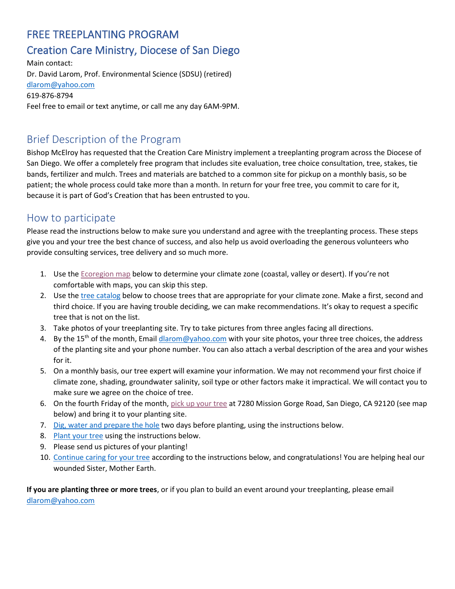# FREE TREEPLANTING PROGRAM

## Creation Care Ministry, Diocese of San Diego

Main contact: Dr. David Larom, Prof. Environmental Science (SDSU) (retired) [dlarom@yahoo.com](mailto:dlarom@yahoo.com) 619-876-8794 Feel free to email or text anytime, or call me any day 6AM-9PM.

## Brief Description of the Program

Bishop McElroy has requested that the Creation Care Ministry implement a treeplanting program across the Diocese of San Diego. We offer a completely free program that includes site evaluation, tree choice consultation, tree, stakes, tie bands, fertilizer and mulch. Trees and materials are batched to a common site for pickup on a monthly basis, so be patient; the whole process could take more than a month. In return for your free tree, you commit to care for it, because it is part of God's Creation that has been entrusted to you.

## How to participate

Please read the instructions below to make sure you understand and agree with the treeplanting process. These steps give you and your tree the best chance of success, and also help us avoid overloading the generous volunteers who provide consulting services, tree delivery and so much more.

- 1. Use th[e Ecoregion map](#page-4-0) below to determine your climate zone (coastal, valley or desert). If you're not comfortable with maps, you can skip this step.
- 2. Use th[e tree catalog](#page-5-0) below to choose trees that are appropriate for your climate zone. Make a first, second and third choice. If you are having trouble deciding, we can make recommendations. It's okay to request a specific tree that is not on the list.
- 3. Take photos of your treeplanting site. Try to take pictures from three angles facing all directions.
- 4. By the 15<sup>th</sup> of the month, Emai[l dlarom@yahoo.com](mailto:dlarom@yahoo.com) with your site photos, your three tree choices, the address of the planting site and your phone number. You can also attach a verbal description of the area and your wishes for it.
- 5. On a monthly basis, our tree expert will examine your information. We may not recommend your first choice if climate zone, shading, groundwater salinity, soil type or other factors make it impractical. We will contact you to make sure we agree on the choice of tree.
- 6. On the fourth Friday of the month, [pick up your tree](#page-3-0) at 7280 Mission Gorge Road, San Diego, CA 92120 (see map below) and bring it to your planting site.
- 7. [Dig, water and prepare the hole](#page-1-0) two days before planting, using the instructions below.
- 8. [Plant](#page-1-1) your tree using the instructions below.
- 9. Please send us pictures of your planting!
- 10. [Continue caring for your tree](#page-2-0) according to the instructions below, and congratulations! You are helping heal our wounded Sister, Mother Earth.

**If you are planting three or more trees**, or if you plan to build an event around your treeplanting, please email [dlarom@yahoo.com](mailto:dlarom@yahoo.com)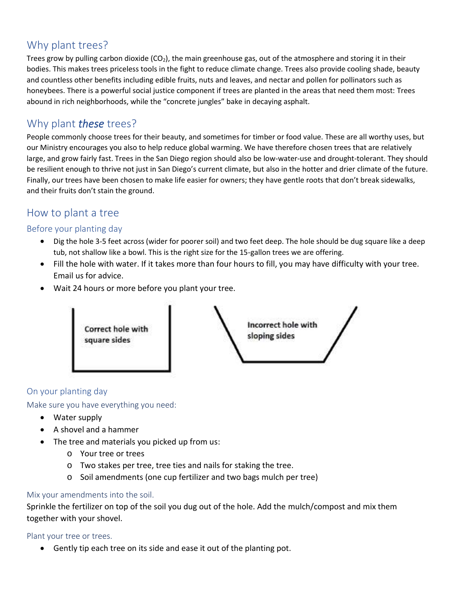## Why plant trees?

Trees grow by pulling carbon dioxide ( $CO<sub>2</sub>$ ), the main greenhouse gas, out of the atmosphere and storing it in their bodies. This makes trees priceless tools in the fight to reduce climate change. Trees also provide cooling shade, beauty and countless other benefits including edible fruits, nuts and leaves, and nectar and pollen for pollinators such as honeybees. There is a powerful social justice component if trees are planted in the areas that need them most: Trees abound in rich neighborhoods, while the "concrete jungles" bake in decaying asphalt.

## Why plant *these* trees?

People commonly choose trees for their beauty, and sometimes for timber or food value. These are all worthy uses, but our Ministry encourages you also to help reduce global warming. We have therefore chosen trees that are relatively large, and grow fairly fast. Trees in the San Diego region should also be low-water-use and drought-tolerant. They should be resilient enough to thrive not just in San Diego's current climate, but also in the hotter and drier climate of the future. Finally, our trees have been chosen to make life easier for owners; they have gentle roots that don't break sidewalks, and their fruits don't stain the ground.

## How to plant a tree

### <span id="page-1-0"></span>Before your planting day

- Dig the hole 3-5 feet across (wider for poorer soil) and two feet deep. The hole should be dug square like a deep tub, not shallow like a bowl. This is the right size for the 15-gallon trees we are offering.
- Fill the hole with water. If it takes more than four hours to fill, you may have difficulty with your tree. Email us for advice.
- Wait 24 hours or more before you plant your tree.



### On your planting day

<span id="page-1-1"></span>Make sure you have everything you need:

- Water supply
- A shovel and a hammer
- The tree and materials you picked up from us:
	- o Your tree or trees
	- o Two stakes per tree, tree ties and nails for staking the tree.
	- o Soil amendments (one cup fertilizer and two bags mulch per tree)

### Mix your amendments into the soil.

Sprinkle the fertilizer on top of the soil you dug out of the hole. Add the mulch/compost and mix them together with your shovel.

Plant your tree or trees.

• Gently tip each tree on its side and ease it out of the planting pot.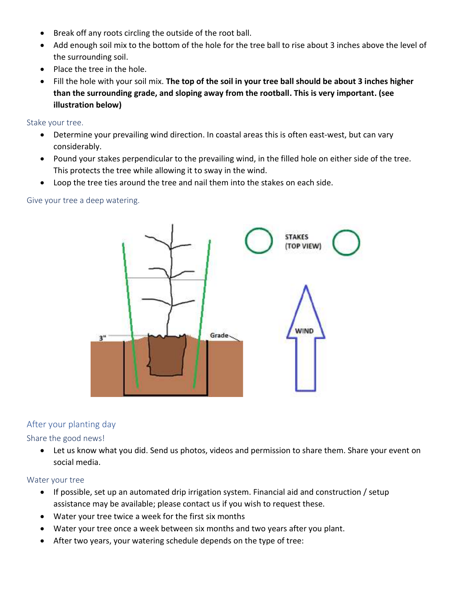- Break off any roots circling the outside of the root ball.
- Add enough soil mix to the bottom of the hole for the tree ball to rise about 3 inches above the level of the surrounding soil.
- Place the tree in the hole.
- Fill the hole with your soil mix. **The top of the soil in your tree ball should be about 3 inches higher than the surrounding grade, and sloping away from the rootball. This is very important. (see illustration below)**

Stake your tree.

- Determine your prevailing wind direction. In coastal areas this is often east-west, but can vary considerably.
- Pound your stakes perpendicular to the prevailing wind, in the filled hole on either side of the tree. This protects the tree while allowing it to sway in the wind.
- Loop the tree ties around the tree and nail them into the stakes on each side.

Give your tree a deep watering.



### <span id="page-2-0"></span>After your planting day

Share the good news!

• Let us know what you did. Send us photos, videos and permission to share them. Share your event on social media.

### Water your tree

- If possible, set up an automated drip irrigation system. Financial aid and construction / setup assistance may be available; please contact us if you wish to request these.
- Water your tree twice a week for the first six months
- Water your tree once a week between six months and two years after you plant.
- After two years, your watering schedule depends on the type of tree: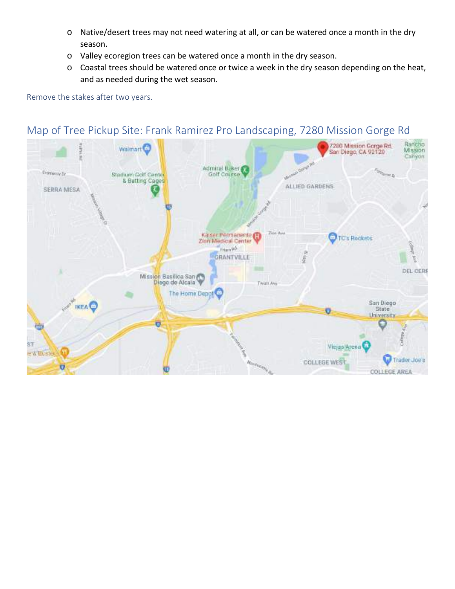- o Native/desert trees may not need watering at all, or can be watered once a month in the dry season.
- o Valley ecoregion trees can be watered once a month in the dry season.
- o Coastal trees should be watered once or twice a week in the dry season depending on the heat, and as needed during the wet season.

### Remove the stakes after two years.

#### Rancho<br>Mission 7280 Mission Gorge Rd.<br>San Diego, CA 92120 Walmart<sup>1</sup> Canyon or Grand Mc Admiral Baker **College B Cramerov** by Stadium Golf Center Golf Course s) & Batting Cages ALLIED GARDENS SERRA MESA Kaiser Permanente This Ave TC's Rockets Zion Medical Center Frien 90 GRANTVILLE ğ ę DEL CERE Mission Basilica San Twitt Ave The Home Depot San Diego<br>State **IKEAO** o University ö 曲 Viejas Arena ŠΤ e & Buster Trader Joe's **Roman COLLEGE WEST** Ü COLLEGE AREA

## <span id="page-3-0"></span>Map of Tree Pickup Site: Frank Ramirez Pro Landscaping, 7280 Mission Gorge Rd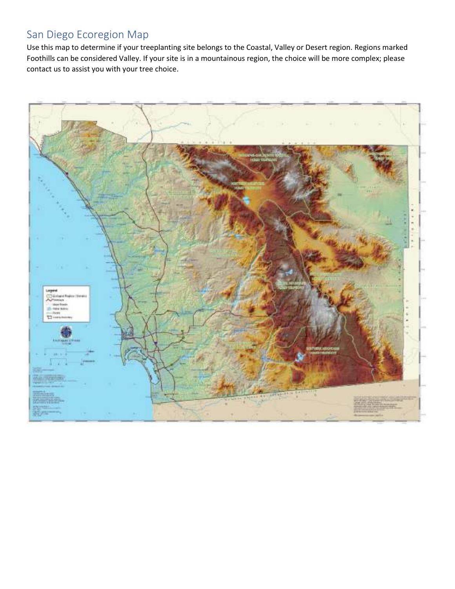## <span id="page-4-0"></span>San Diego Ecoregion Map

Use this map to determine if your treeplanting site belongs to the Coastal, Valley or Desert region. Regions marked Foothills can be considered Valley. If your site is in a mountainous region, the choice will be more complex; please contact us to assist you with your tree choice.

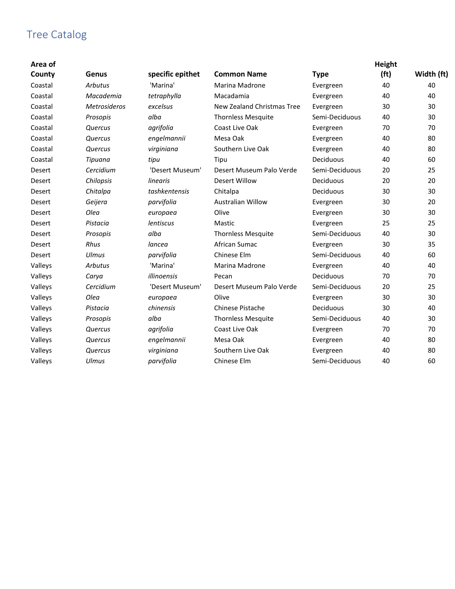## <span id="page-5-0"></span>Tree Catalog

| Area of<br>County | Genus               | specific epithet | <b>Common Name</b>         | <b>Type</b>    | Height<br>(f <sub>t</sub> ) | Width (ft) |
|-------------------|---------------------|------------------|----------------------------|----------------|-----------------------------|------------|
| Coastal           | <b>Arbutus</b>      | 'Marina'         | Marina Madrone             | Evergreen      | 40                          | 40         |
| Coastal           | Macademia           | tetraphylla      | Macadamia                  | Evergreen      | 40                          | 40         |
| Coastal           | <b>Metrosideros</b> | excelsus         | New Zealand Christmas Tree | Evergreen      | 30                          | 30         |
| Coastal           | Prosopis            | alba             | <b>Thornless Mesquite</b>  | Semi-Deciduous | 40                          | 30         |
| Coastal           | Quercus             | agrifolia        | Coast Live Oak             | Evergreen      | 70                          | 70         |
| Coastal           | Quercus             | engelmannii      | Mesa Oak                   | Evergreen      | 40                          | 80         |
| Coastal           | Quercus             | virginiana       | Southern Live Oak          | Evergreen      | 40                          | 80         |
| Coastal           | Tipuana             | tipu             | Tipu                       | Deciduous      | 40                          | 60         |
| <b>Desert</b>     | Cercidium           | 'Desert Museum'  | Desert Museum Palo Verde   | Semi-Deciduous | 20                          | 25         |
| Desert            | Chilopsis           | linearis         | <b>Desert Willow</b>       | Deciduous      | 20                          | 20         |
| Desert            | Chitalpa            | tashkentensis    | Chitalpa                   | Deciduous      | 30                          | 30         |
| <b>Desert</b>     | Geijera             | parvifolia       | <b>Australian Willow</b>   | Evergreen      | 30                          | 20         |
| Desert            | Olea                | europaea         | Olive                      | Evergreen      | 30                          | 30         |
| <b>Desert</b>     | Pistacia            | <b>lentiscus</b> | Mastic                     | Evergreen      | 25                          | 25         |
| Desert            | Prosopis            | alba             | <b>Thornless Mesquite</b>  | Semi-Deciduous | 40                          | 30         |
| <b>Desert</b>     | Rhus                | lancea           | African Sumac              | Evergreen      | 30                          | 35         |
| <b>Desert</b>     | Ulmus               | parvifolia       | Chinese Elm                | Semi-Deciduous | 40                          | 60         |
| Valleys           | <b>Arbutus</b>      | 'Marina'         | <b>Marina Madrone</b>      | Evergreen      | 40                          | 40         |
| Valleys           | Carya               | illinoensis      | Pecan                      | Deciduous      | 70                          | 70         |
| Valleys           | Cercidium           | 'Desert Museum'  | Desert Museum Palo Verde   | Semi-Deciduous | 20                          | 25         |
| Valleys           | Olea                | europaea         | Olive                      | Evergreen      | 30                          | 30         |
| Valleys           | Pistacia            | chinensis        | Chinese Pistache           | Deciduous      | 30                          | 40         |
| Valleys           | Prosopis            | alba             | <b>Thornless Mesquite</b>  | Semi-Deciduous | 40                          | 30         |
| Valleys           | Quercus             | agrifolia        | Coast Live Oak             | Evergreen      | 70                          | 70         |
| Valleys           | Quercus             | engelmannii      | Mesa Oak                   | Evergreen      | 40                          | 80         |
| Valleys           | Quercus             | virginiana       | Southern Live Oak          | Evergreen      | 40                          | 80         |
| Valleys           | Ulmus               | parvifolia       | Chinese Elm                | Semi-Deciduous | 40                          | 60         |
|                   |                     |                  |                            |                |                             |            |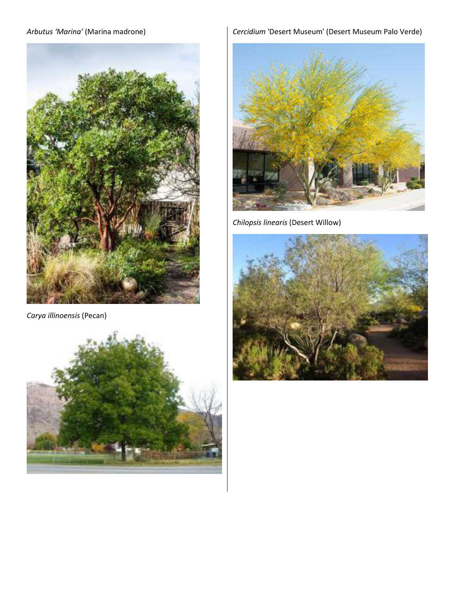## *Arbutus 'Marina'* (Marina madrone)



*Carya illinoensis* (Pecan)



## *Cercidium* 'Desert Museum' (Desert Museum Palo Verde)



*Chilopsis linearis* (Desert Willow)

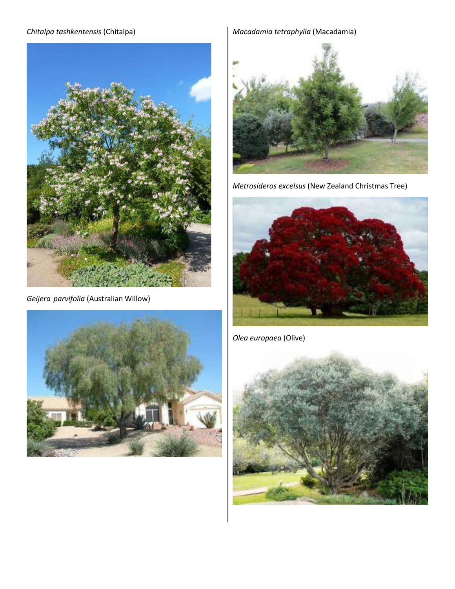### *Chitalpa tashkentensis* (Chitalpa)



*Geijera parvifolia* (Australian Willow)



## *Macadamia tetraphylla* (Macadamia)



*Metrosideros excelsus* (New Zealand Christmas Tree)



*Olea europaea* (Olive)

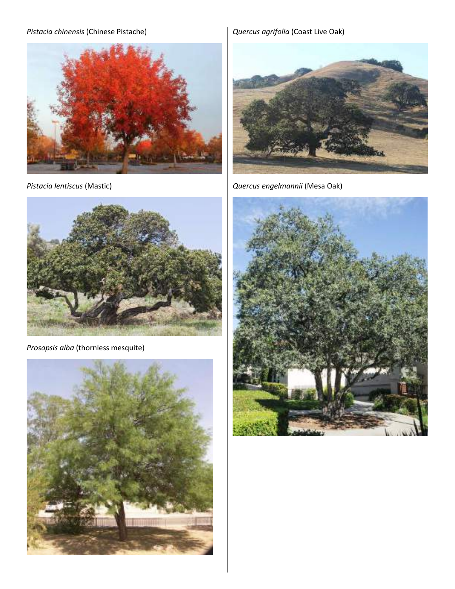## *Pistacia chinensis* (Chinese Pistache)



*Pistacia lentiscus* (Mastic)



*Prosopsis alba* (thornless mesquite)



*Quercus agrifolia* (Coast Live Oak)



*Quercus engelmannii* (Mesa Oak)

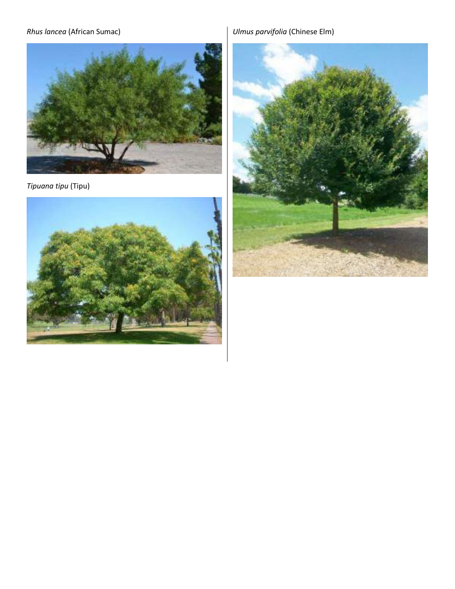## *Rhus lancea* (African Sumac)



*Tipuana tipu* (Tipu)



*Ulmus parvifolia* (Chinese Elm)